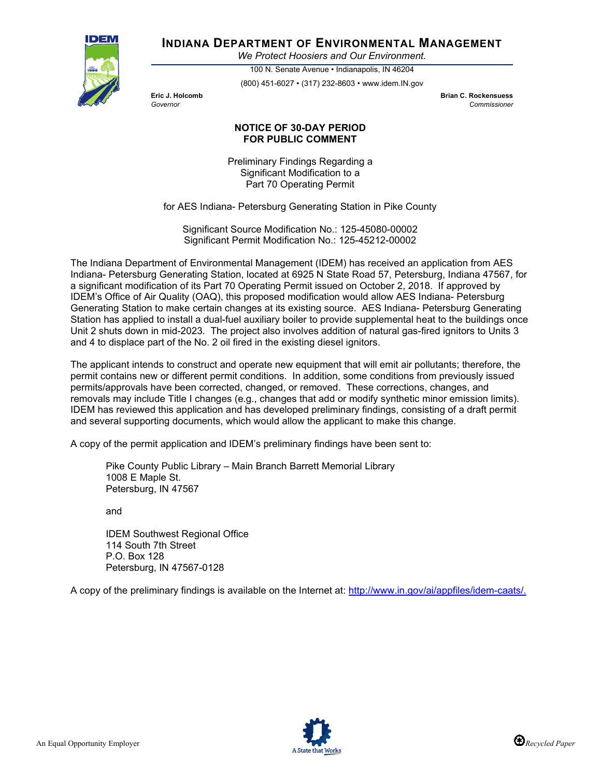

# **INDIANA DEPARTMENT OF ENVIRONMENTAL MANAGEMENT**

*We Protect Hoosiers and Our Environment.*

100 N. Senate Avenue • Indianapolis, IN 46204 (800) 451-6027 • (317) 232-8603 • www.idem.IN.gov

**Eric J. Holcomb Brian C. Rockensuess** *Governor Commissioner* 

## **NOTICE OF 30-DAY PERIOD FOR PUBLIC COMMENT**

Preliminary Findings Regarding a Significant Modification to a Part 70 Operating Permit

for AES Indiana- Petersburg Generating Station in Pike County

Significant Source Modification No.: 125-45080-00002 Significant Permit Modification No.: 125-45212-00002

The Indiana Department of Environmental Management (IDEM) has received an application from AES Indiana- Petersburg Generating Station, located at 6925 N State Road 57, Petersburg, Indiana 47567, for a significant modification of its Part 70 Operating Permit issued on October 2, 2018. If approved by IDEM's Office of Air Quality (OAQ), this proposed modification would allow AES Indiana- Petersburg Generating Station to make certain changes at its existing source. AES Indiana- Petersburg Generating Station has applied to install a dual-fuel auxiliary boiler to provide supplemental heat to the buildings once Unit 2 shuts down in mid-2023. The project also involves addition of natural gas-fired ignitors to Units 3 and 4 to displace part of the No. 2 oil fired in the existing diesel ignitors.

The applicant intends to construct and operate new equipment that will emit air pollutants; therefore, the permit contains new or different permit conditions. In addition, some conditions from previously issued permits/approvals have been corrected, changed, or removed. These corrections, changes, and removals may include Title I changes (e.g., changes that add or modify synthetic minor emission limits). IDEM has reviewed this application and has developed preliminary findings, consisting of a draft permit and several supporting documents, which would allow the applicant to make this change.

A copy of the permit application and IDEM's preliminary findings have been sent to:

Pike County Public Library – Main Branch Barrett Memorial Library 1008 E Maple St. Petersburg, IN 47567

and

IDEM Southwest Regional Office 114 South 7th Street P.O. Box 128 Petersburg, IN 47567-0128

A copy of the preliminary findings is available on the Internet at: [http://www.in.gov/ai/appfiles/idem-caats/.](http://www.in.gov/ai/appfiles/idem-caats/)

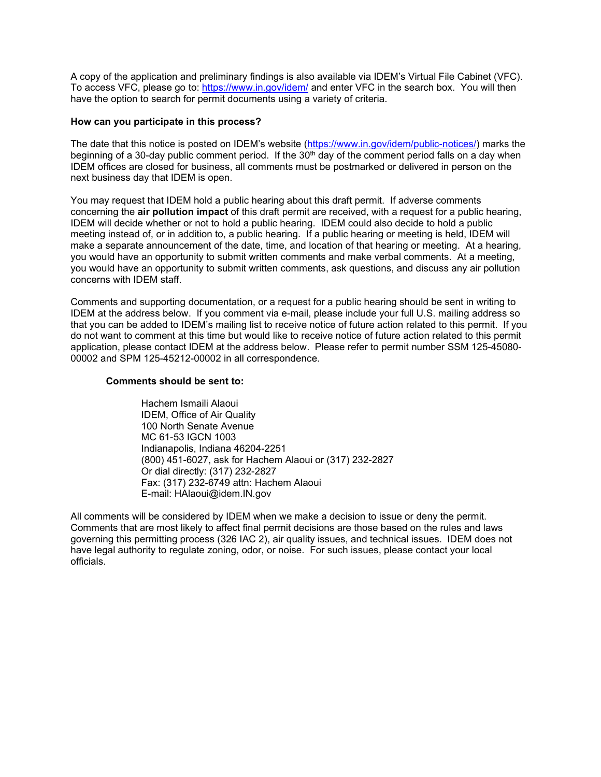A copy of the application and preliminary findings is also available via IDEM's Virtual File Cabinet (VFC). To access VFC, please go to:<https://www.in.gov/idem/> and enter VFC in the search box. You will then have the option to search for permit documents using a variety of criteria.

### **How can you participate in this process?**

The date that this notice is posted on IDEM's website [\(https://www.in.gov/idem/public-notices/\)](https://www.in.gov/idem/public-notices/) marks the beginning of a 30-day public comment period. If the  $30<sup>th</sup>$  day of the comment period falls on a day when IDEM offices are closed for business, all comments must be postmarked or delivered in person on the next business day that IDEM is open.

You may request that IDEM hold a public hearing about this draft permit. If adverse comments concerning the **air pollution impact** of this draft permit are received, with a request for a public hearing, IDEM will decide whether or not to hold a public hearing. IDEM could also decide to hold a public meeting instead of, or in addition to, a public hearing. If a public hearing or meeting is held, IDEM will make a separate announcement of the date, time, and location of that hearing or meeting. At a hearing, you would have an opportunity to submit written comments and make verbal comments. At a meeting, you would have an opportunity to submit written comments, ask questions, and discuss any air pollution concerns with IDEM staff.

Comments and supporting documentation, or a request for a public hearing should be sent in writing to IDEM at the address below. If you comment via e-mail, please include your full U.S. mailing address so that you can be added to IDEM's mailing list to receive notice of future action related to this permit. If you do not want to comment at this time but would like to receive notice of future action related to this permit application, please contact IDEM at the address below. Please refer to permit number SSM 125-45080- 00002 and SPM 125-45212-00002 in all correspondence.

### **Comments should be sent to:**

Hachem Ismaili Alaoui IDEM, Office of Air Quality 100 North Senate Avenue MC 61-53 IGCN 1003 Indianapolis, Indiana 46204-2251 (800) 451-6027, ask for Hachem Alaoui or (317) 232-2827 Or dial directly: (317) 232-2827 Fax: (317) 232-6749 attn: Hachem Alaoui E-mail: HAlaoui@idem.IN.gov

All comments will be considered by IDEM when we make a decision to issue or deny the permit. Comments that are most likely to affect final permit decisions are those based on the rules and laws governing this permitting process (326 IAC 2), air quality issues, and technical issues. IDEM does not have legal authority to regulate zoning, odor, or noise. For such issues, please contact your local officials.